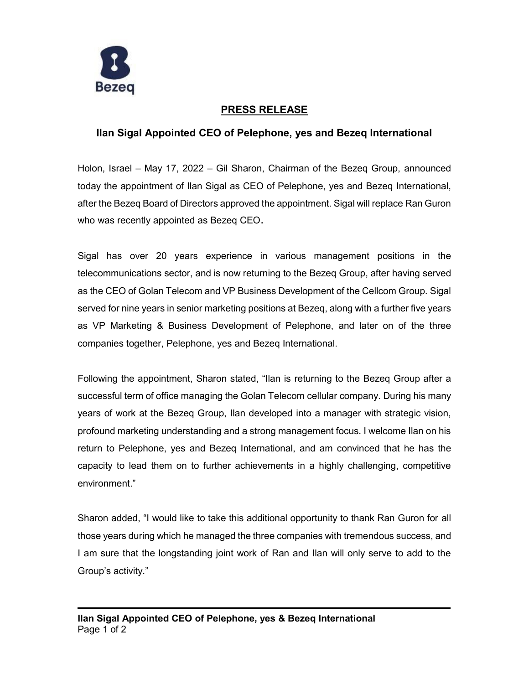

# **PRESS RELEASE**

## **Ilan Sigal Appointed CEO of Pelephone, yes and Bezeq International**

Holon, Israel – May 17, 2022 – Gil Sharon, Chairman of the Bezeq Group, announced today the appointment of Ilan Sigal as CEO of Pelephone, yes and Bezeq International, after the Bezeq Board of Directors approved the appointment. Sigal will replace Ran Guron who was recently appointed as Bezeq CEO.

Sigal has over 20 years experience in various management positions in the telecommunications sector, and is now returning to the Bezeq Group, after having served as the CEO of Golan Telecom and VP Business Development of the Cellcom Group. Sigal served for nine years in senior marketing positions at Bezeq, along with a further five years as VP Marketing & Business Development of Pelephone, and later on of the three companies together, Pelephone, yes and Bezeq International.

Following the appointment, Sharon stated, "Ilan is returning to the Bezeq Group after a successful term of office managing the Golan Telecom cellular company. During his many years of work at the Bezeq Group, Ilan developed into a manager with strategic vision, profound marketing understanding and a strong management focus. I welcome Ilan on his return to Pelephone, yes and Bezeq International, and am convinced that he has the capacity to lead them on to further achievements in a highly challenging, competitive environment."

Sharon added, "I would like to take this additional opportunity to thank Ran Guron for all those years during which he managed the three companies with tremendous success, and I am sure that the longstanding joint work of Ran and Ilan will only serve to add to the Group's activity."